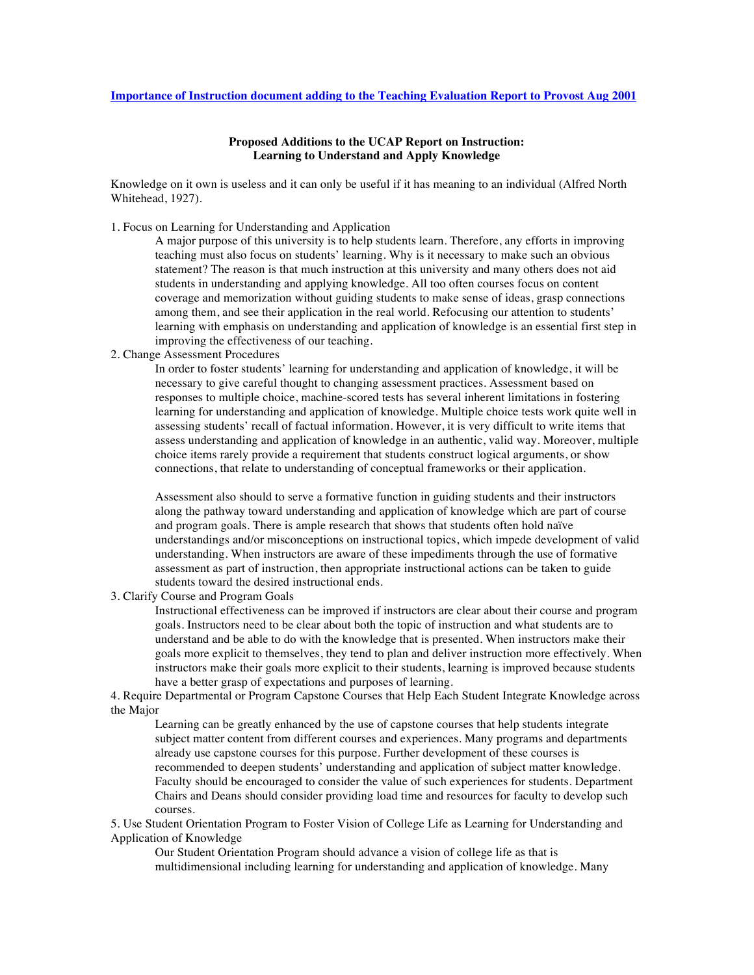## **Importance of Instruction document adding to the Teaching Evaluation Report to Provost Aug 2001**

## **Proposed Additions to the UCAP Report on Instruction: Learning to Understand and Apply Knowledge**

Knowledge on it own is useless and it can only be useful if it has meaning to an individual (Alfred North Whitehead, 1927).

1. Focus on Learning for Understanding and Application

A major purpose of this university is to help students learn. Therefore, any efforts in improving teaching must also focus on students' learning. Why is it necessary to make such an obvious statement? The reason is that much instruction at this university and many others does not aid students in understanding and applying knowledge. All too often courses focus on content coverage and memorization without guiding students to make sense of ideas, grasp connections among them, and see their application in the real world. Refocusing our attention to students' learning with emphasis on understanding and application of knowledge is an essential first step in improving the effectiveness of our teaching.

2. Change Assessment Procedures

In order to foster students' learning for understanding and application of knowledge, it will be necessary to give careful thought to changing assessment practices. Assessment based on responses to multiple choice, machine-scored tests has several inherent limitations in fostering learning for understanding and application of knowledge. Multiple choice tests work quite well in assessing students' recall of factual information. However, it is very difficult to write items that assess understanding and application of knowledge in an authentic, valid way. Moreover, multiple choice items rarely provide a requirement that students construct logical arguments, or show connections, that relate to understanding of conceptual frameworks or their application.

Assessment also should to serve a formative function in guiding students and their instructors along the pathway toward understanding and application of knowledge which are part of course and program goals. There is ample research that shows that students often hold naïve understandings and/or misconceptions on instructional topics, which impede development of valid understanding. When instructors are aware of these impediments through the use of formative assessment as part of instruction, then appropriate instructional actions can be taken to guide students toward the desired instructional ends.

3. Clarify Course and Program Goals

Instructional effectiveness can be improved if instructors are clear about their course and program goals. Instructors need to be clear about both the topic of instruction and what students are to understand and be able to do with the knowledge that is presented. When instructors make their goals more explicit to themselves, they tend to plan and deliver instruction more effectively. When instructors make their goals more explicit to their students, learning is improved because students have a better grasp of expectations and purposes of learning.

4. Require Departmental or Program Capstone Courses that Help Each Student Integrate Knowledge across the Major

Learning can be greatly enhanced by the use of capstone courses that help students integrate subject matter content from different courses and experiences. Many programs and departments already use capstone courses for this purpose. Further development of these courses is recommended to deepen students' understanding and application of subject matter knowledge. Faculty should be encouraged to consider the value of such experiences for students. Department Chairs and Deans should consider providing load time and resources for faculty to develop such courses.

5. Use Student Orientation Program to Foster Vision of College Life as Learning for Understanding and Application of Knowledge

Our Student Orientation Program should advance a vision of college life as that is multidimensional including learning for understanding and application of knowledge. Many